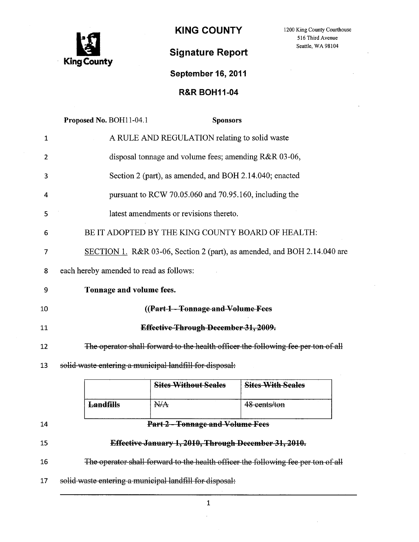

KING COUNTY 1200 King County Courthouse

516 Third Avenue Seattle, WA 98104

÷,

# Signature Report

## September 16, 2011

## R&R BOH11-04

|              | Proposed No. BOH11-04.1                                                           | <b>Sponsors</b>             |                          |  |  |
|--------------|-----------------------------------------------------------------------------------|-----------------------------|--------------------------|--|--|
| $\mathbf{1}$ | A RULE AND REGULATION relating to solid waste                                     |                             |                          |  |  |
| 2            | disposal tonnage and volume fees; amending R&R 03-06,                             |                             |                          |  |  |
| 3            | Section 2 (part), as amended, and BOH 2.14.040; enacted                           |                             |                          |  |  |
| 4            | pursuant to RCW 70.05.060 and 70.95.160, including the                            |                             |                          |  |  |
| 5            | latest amendments or revisions thereto.                                           |                             |                          |  |  |
| 6            | BE IT ADOPTED BY THE KING COUNTY BOARD OF HEALTH:                                 |                             |                          |  |  |
| 7            | SECTION 1. R&R 03-06, Section 2 (part), as amended, and BOH 2.14.040 are          |                             |                          |  |  |
| 8            | each hereby amended to read as follows:                                           |                             |                          |  |  |
| 9            | Tonnage and volume fees.                                                          |                             |                          |  |  |
| 10           | ((Part 1 - Tonnage and Volume Fees                                                |                             |                          |  |  |
| 11           | Effective-Through-December-31, 2009.                                              |                             |                          |  |  |
| 12           | The operator shall forward to the health officer the following fee per ton of all |                             |                          |  |  |
| 13           | solid waste entering a municipal landfill for disposal:                           |                             |                          |  |  |
|              |                                                                                   | <b>Sites Without Seales</b> | <b>Sites With Seales</b> |  |  |
|              | <b>Landfills</b>                                                                  | N <sub>/A</sub>             | 48 cents/ton             |  |  |
| 14           | Part 2 - Tonnage and Volume Fees                                                  |                             |                          |  |  |
| 15           | Effective January 1, 2010, Through December 31, 2010.                             |                             |                          |  |  |
| 16           | The operator-shall forward to the health officer the following fee per ton of all |                             |                          |  |  |
| 17           | solid waste entering a municipal landfill for disposal:                           |                             |                          |  |  |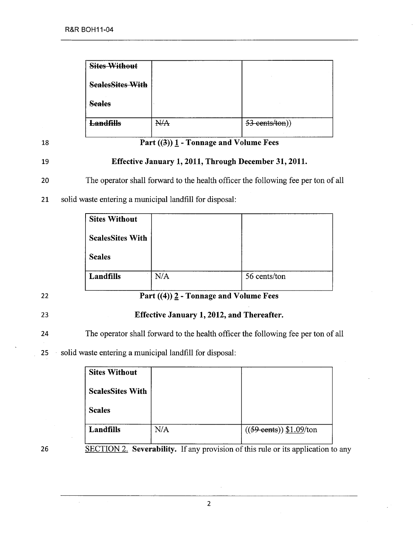| <b>Sites Without</b>    |     |                  |
|-------------------------|-----|------------------|
| <b>SealesSites With</b> |     |                  |
| <b>Seales</b>           |     |                  |
| <del>Landfills</del>    | NłA | $53$ cents/ton)) |

### 18 **Part**  $((3))$  1 - Tonnage and Volume Fees

### 19 Effective January 1, 2011, Through December 31, 2011.

20 The operator shall forward to the health officer the following fee per ton of all

21 solid waste entering a municipal landfill for disposal:

| <b>Sites Without</b>    |     |              |
|-------------------------|-----|--------------|
| <b>ScalesSites With</b> |     |              |
| <b>Scales</b>           |     |              |
| Landfills               | N/A | 56 cents/ton |

# 22 **Part**  $((4))$   $\overline{2}$  - Tonnage and Volume Fees

### 23 Effective January 1, 2012, and Thereafter.

24 The operator shall forward to the health officer the following fee per ton of all

25 solid waste entering a municipal landfill for disposal:

| <b>Sites Without</b>    |     |                                   |
|-------------------------|-----|-----------------------------------|
| <b>ScalesSites With</b> |     |                                   |
| <b>Scales</b>           |     |                                   |
| Landfills               | N/A | $((59 \text{ cents}))$ \$1.09/ton |

26 SECTION 2. Severability. If any provision of this rule or its application to any